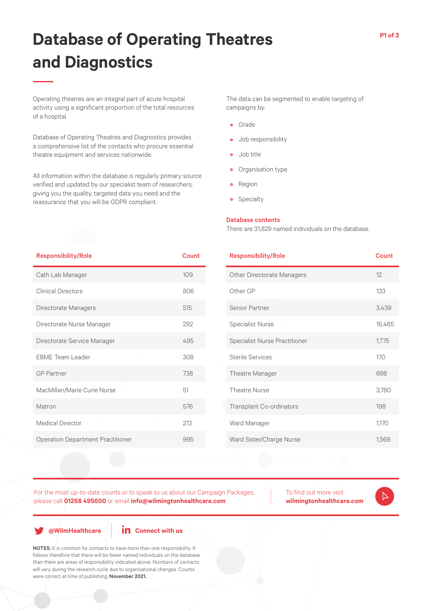# **Database of Operating Theatres and Diagnostics**

Operating theatres are an integral part of acute hospital activity using a significant proportion of the total resources of a hospital.

Database of Operating Theatres and Diagnostics provides a comprehensive list of the contacts who procure essential theatre equipment and services nationwide.

All information within the database is regularly primary source verified and updated by our specialist team of researchers; giving you the quality, targeted data you need and the reassurance that you will be GDPR compliant.

The data can be segmented to enable targeting of campaigns by:

- Grade
- Job responsibility
- Job title
- Organisation type
- Region
- Specialty

## Database contents

There are 31,829 named individuals on the database.

| <b>Responsibility/Role</b>               | Count |
|------------------------------------------|-------|
| Cath Lab Manager                         | 109   |
| <b>Clinical Directors</b>                | 806   |
| Directorate Managers                     | 515   |
| Directorate Nurse Manager                | 292   |
| Directorate Service Manager              | 495   |
| <b>FBMF</b> Team Leader                  | 308   |
| <b>GP</b> Partner                        | 738   |
| MacMillan/Marie Curie Nurse              | 51    |
| Matron                                   | 576   |
| <b>Medical Director</b>                  | 213   |
| <b>Operation Department Practitioner</b> | 995   |

| <b>Responsibility/Role</b>           | Count  |
|--------------------------------------|--------|
| <b>Other Directorate Managers</b>    | 12     |
| Other GP                             | 133    |
| Senior Partner                       | 3,439  |
| <b>Specialist Nurse</b>              | 16,465 |
| <b>Specialist Nurse Practitioner</b> | 1,775  |
| <b>Sterile Services</b>              | 170    |
| Theatre Manager                      | 698    |
| <b>Theatre Nurse</b>                 | 3,780  |
| Transplant Co-ordinators             | 198    |
| Ward Manager                         | 1,170  |
| Ward Sister/Charge Nurse             | 1,568  |
|                                      |        |

For the most up-to-date counts or to speak to us about our Campaign Packages, please call **01268 495600** or email **info@wilmingtonhealthcare.com**

To find out more visit **wilmingtonhealthcare.com**

**@WilmHealthcare**

## **in** Connect with us

NOTES: It is common for contacts to have more than one responsibility. It follows therefore that there will be fewer named individuals on the database than there are areas of responsibility indicated above. Numbers of contacts will vary during the research cycle due to organisational changes. Counts were correct at time of publishing; November 2021.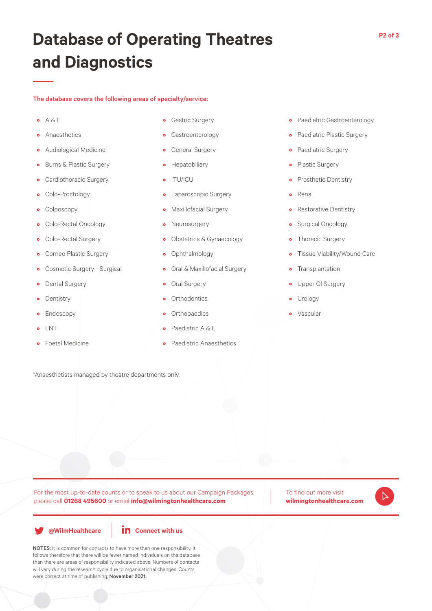## **Database of Operating Theatres and Diagnostics**

## The database covers the following areas of specialty/service:

- $\circ$  A & E
- Anaesthetics
- Audiological Medicine
- Burns & Plastic Surgery
- Cardiothoracic Surgery
- Colo-Proctology
- Colposcopy
- Colo-Rectal Oncology
- Colo-Rectal Surgery
- Corneo Plastic Surgery
- Cosmetic Surgery Surgical
- Dental Surgery
- Dentistry
- Endoscopy
- ENT
- Foetal Medicine
- Gastric Surgery
- Gastroenterology
- General Surgery
- Hepatobiliary
- ITU/ICU
- Laparoscopic Surgery
- Maxillofacial Surgery
- Neurosurgery
- Obstetrics & Gynaecology
- Ophthalmology
- Oral & Maxillofacial Surgery
- Oral Surgery
- Orthodontics
- Orthopaedics
- Paediatric A & E
- Paediatric Anaesthetics
- Paediatric Gastroenterology
- Paediatric Plastic Surgery
- Paediatric Surgery
- Plastic Surgery
- Prosthetic Dentistry
- Renal
- Restorative Dentistry
- Surgical Oncology
- Thoracic Surgery
- Tissue Viability/Wound Care
- Transplantation
- Upper GI Surgery
- Urology
- Vascular

\*Anaesthetists managed by theatre departments only.

For the most up-to-date counts or to speak to us about our Campaign Packages, please call **01268 495600** or email **info@wilmingtonhealthcare.com**

To find out more visit **wilmingtonhealthcare.com**



**@WilmHealthcare**



NOTES: It is common for contacts to have more than one responsibility. It follows therefore that there will be fewer named individuals on the database than there are areas of responsibility indicated above. Numbers of contacts will vary during the research cycle due to organisational changes. Counts were correct at time of publishing; November 2021.